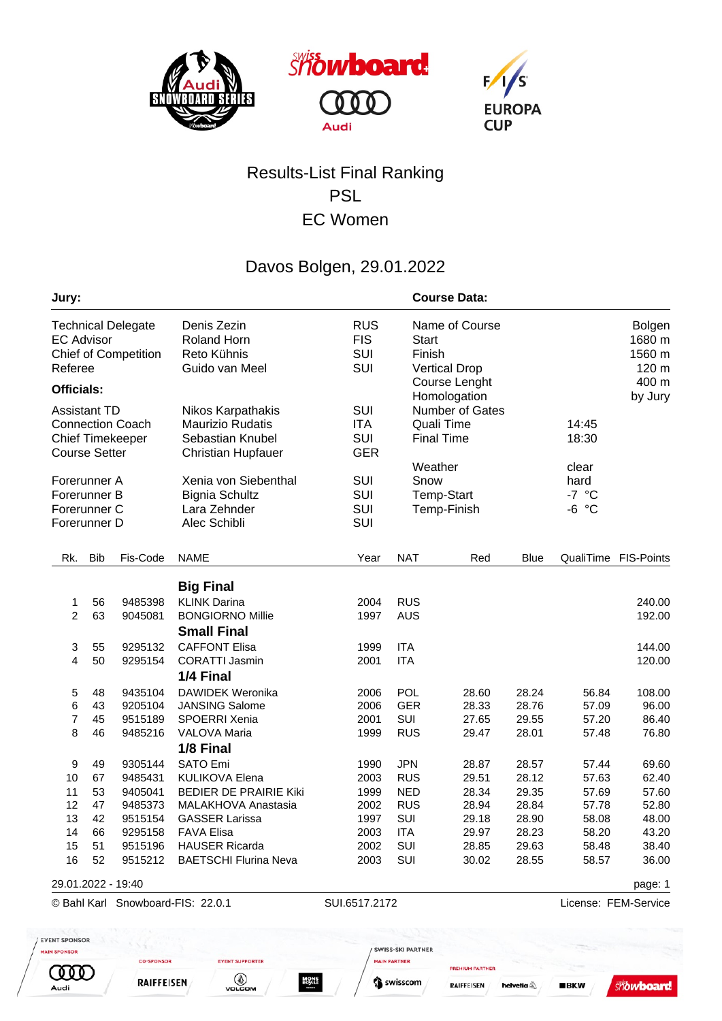





## Results-List Final Ranking PSL EC Women

## Davos Bolgen, 29.01.2022

| Jury:                                                                                             |            |                                   |                                                                                               |                                        |                 | <b>Course Data:</b>                                                |                      |                                                                  |                                            |  |
|---------------------------------------------------------------------------------------------------|------------|-----------------------------------|-----------------------------------------------------------------------------------------------|----------------------------------------|-----------------|--------------------------------------------------------------------|----------------------|------------------------------------------------------------------|--------------------------------------------|--|
| <b>Technical Delegate</b><br><b>EC Advisor</b><br>Chief of Competition<br>Referee                 |            |                                   | Denis Zezin<br>Roland Horn<br>Reto Kühnis<br>Guido van Meel                                   | <b>RUS</b><br><b>FIS</b><br>SUI<br>SUI | Start<br>Finish | Name of Course<br><b>Vertical Drop</b>                             |                      |                                                                  | <b>Bolgen</b><br>1680 m<br>1560 m<br>120 m |  |
| <b>Officials:</b>                                                                                 |            |                                   |                                                                                               |                                        | Course Lenght   |                                                                    |                      | 400 m                                                            |                                            |  |
| <b>Assistant TD</b><br><b>Connection Coach</b><br><b>Chief Timekeeper</b><br><b>Course Setter</b> |            |                                   | Nikos Karpathakis<br><b>Maurizio Rudatis</b><br>Sebastian Knubel<br><b>Christian Hupfauer</b> | SUI<br><b>ITA</b><br>SUI<br><b>GER</b> |                 | Homologation<br>Number of Gates<br>Quali Time<br><b>Final Time</b> |                      | by Jury<br>14:45<br>18:30<br>clear<br>hard<br>$-7 °C$<br>$-6 °C$ |                                            |  |
| Forerunner A<br>Forerunner B<br>Forerunner C<br>Forerunner D                                      |            |                                   | Xenia von Siebenthal<br><b>Bignia Schultz</b><br>Lara Zehnder<br>Alec Schibli                 | SUI<br>SUI<br>SUI<br>SUI               | Weather<br>Snow | <b>Temp-Start</b><br>Temp-Finish                                   |                      |                                                                  |                                            |  |
| Rk.                                                                                               | <b>Bib</b> | Fis-Code                          | <b>NAME</b>                                                                                   | Year                                   | <b>NAT</b>      | Red                                                                | Blue                 |                                                                  | QualiTime FIS-Points                       |  |
|                                                                                                   |            |                                   | <b>Big Final</b>                                                                              |                                        |                 |                                                                    |                      |                                                                  |                                            |  |
| 1                                                                                                 | 56         | 9485398                           | <b>KLINK Darina</b>                                                                           | 2004                                   | <b>RUS</b>      |                                                                    |                      |                                                                  | 240.00                                     |  |
| $\overline{c}$                                                                                    | 63         | 9045081                           | <b>BONGIORNO Millie</b><br><b>Small Final</b>                                                 | 1997                                   | <b>AUS</b>      |                                                                    |                      |                                                                  | 192.00                                     |  |
| 3                                                                                                 | 55         | 9295132                           | <b>CAFFONT Elisa</b>                                                                          | 1999                                   | <b>ITA</b>      |                                                                    |                      |                                                                  | 144.00                                     |  |
| 4                                                                                                 | 50         | 9295154                           | <b>CORATTI Jasmin</b><br>1/4 Final                                                            | 2001                                   | <b>ITA</b>      |                                                                    |                      |                                                                  | 120.00                                     |  |
| 5                                                                                                 | 48         | 9435104                           | <b>DAWIDEK Weronika</b>                                                                       | 2006                                   | POL             | 28.60                                                              | 28.24                | 56.84                                                            | 108.00                                     |  |
| 6                                                                                                 | 43         | 9205104                           | <b>JANSING Salome</b>                                                                         | 2006                                   | <b>GER</b>      | 28.33                                                              | 28.76                | 57.09                                                            | 96.00                                      |  |
| 7                                                                                                 | 45         | 9515189                           | SPOERRI Xenia                                                                                 | 2001                                   | SUI             | 27.65                                                              | 29.55                | 57.20                                                            | 86.40                                      |  |
| 8                                                                                                 | 46         | 9485216                           | <b>VALOVA Maria</b><br>1/8 Final                                                              | 1999                                   | <b>RUS</b>      | 29.47                                                              | 28.01                | 57.48                                                            | 76.80                                      |  |
| 9                                                                                                 | 49         | 9305144                           | <b>SATO Emi</b>                                                                               | 1990                                   | <b>JPN</b>      | 28.87                                                              | 28.57                | 57.44                                                            | 69.60                                      |  |
| 10                                                                                                | 67         | 9485431                           | <b>KULIKOVA Elena</b>                                                                         | 2003                                   | <b>RUS</b>      | 29.51                                                              | 28.12                | 57.63                                                            | 62.40                                      |  |
| 11                                                                                                | 53         | 9405041                           | <b>BEDIER DE PRAIRIE Kiki</b>                                                                 | 1999                                   | <b>NED</b>      | 28.34                                                              | 29.35                | 57.69                                                            | 57.60                                      |  |
| 12                                                                                                | 47         | 9485373                           | <b>MALAKHOVA Anastasia</b>                                                                    | 2002                                   | <b>RUS</b>      | 28.94                                                              | 28.84                | 57.78                                                            | 52.80                                      |  |
| 13                                                                                                | 42         | 9515154                           | <b>GASSER Larissa</b>                                                                         | 1997                                   | SUI             | 29.18                                                              | 28.90                | 58.08                                                            | 48.00                                      |  |
| 14                                                                                                | 66         |                                   | 9295158 FAVA Elisa                                                                            | 2003 ITA                               |                 | 29.97                                                              | 28.23                | 58.20                                                            | 43.20                                      |  |
| 15                                                                                                | 51         |                                   | 9515196 HAUSER Ricarda                                                                        | 2002                                   | SUI             | 28.85                                                              | 29.63                | 58.48                                                            | 38.40                                      |  |
| 16                                                                                                | 52         | 9515212                           | <b>BAETSCHI Flurina Neva</b>                                                                  | 2003                                   | SUI             | 30.02                                                              | 28.55                | 58.57                                                            | 36.00                                      |  |
| 29.01.2022 - 19:40                                                                                |            |                                   |                                                                                               |                                        |                 |                                                                    |                      |                                                                  | page: 1                                    |  |
|                                                                                                   |            | © Bahl Karl Snowboard-FIS: 22.0.1 |                                                                                               | SUI.6517.2172                          |                 |                                                                    | License: FEM-Service |                                                                  |                                            |  |

MAIN PARTNER

Swisscom

**PREMIUM PARTNER** 

helvetia<sup>4</sup>

**RAIFFEISEN** 

**EVENT SUPPORTER** 

VOLCOM

**MONS**<br>ROYLE

**CO-SPONSOR** 

**RAIFFEISEN** 

**TITO** 

Audi

**Showboard**  $BKN$